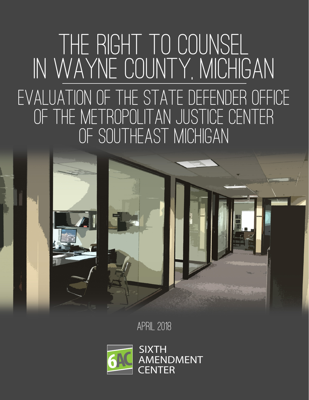# Evaluation of THE STATE DEFENDER OFFICE OF THE METROPOLITAN JUSTICE CENTER OF SOUTHEAST MICHIGAN THE RIGHT TO COUNSEL in WAYNE COUNTY, MICHIGAN



April 2018

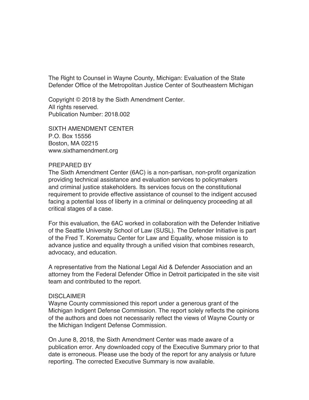The Right to Counsel in Wayne County, Michigan: Evaluation of the State Defender Office of the Metropolitan Justice Center of Southeastern Michigan

Copyright © 2018 by the Sixth Amendment Center. All rights reserved. Publication Number: 2018.002

SIXTH AMENDMENT CENTER P.O. Box 15556 Boston, MA 02215 www.sixthamendment.org

#### PREPARED BY

The Sixth Amendment Center (6AC) is a non-partisan, non-profit organization providing technical assistance and evaluation services to policymakers and criminal justice stakeholders. Its services focus on the constitutional requirement to provide effective assistance of counsel to the indigent accused facing a potential loss of liberty in a criminal or delinquency proceeding at all critical stages of a case.

For this evaluation, the 6AC worked in collaboration with the Defender Initiative of the Seattle University School of Law (SUSL). The Defender Initiative is part of the Fred T. Korematsu Center for Law and Equality, whose mission is to advance justice and equality through a unified vision that combines research, advocacy, and education.

A representative from the National Legal Aid & Defender Association and an attorney from the Federal Defender Office in Detroit participated in the site visit team and contributed to the report.

#### **DISCLAIMER**

Wayne County commissioned this report under a generous grant of the Michigan Indigent Defense Commission. The report solely reflects the opinions of the authors and does not necessarily reflect the views of Wayne County or the Michigan Indigent Defense Commission.

On June 8, 2018, the Sixth Amendment Center was made aware of a publication error. Any downloaded copy of the Executive Summary prior to that date is erroneous. Please use the body of the report for any analysis or future reporting. The corrected Executive Summary is now available.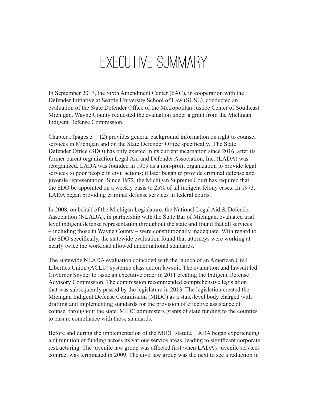# executive summary

In September 2017, the Sixth Amendment Center (6AC), in cooperation with the Defender Initiative at Seattle University School of Law (SUSL), conducted an evaluation of the State Defender Office of the Metropolitan Justice Center of Southeast Michigan. Wayne County requested the evaluation under a grant from the Michigan Indigent Defense Commission.

Chapter I (pages  $3 - 12$ ) provides general background information on right to counsel services in Michigan and on the State Defender Office specifically. The State Defender Office (SDO) has only existed in its current incarnation since 2016, after its former parent organization Legal Aid and Defender Association, Inc. (LADA) was reorganized. LADA was founded in 1909 as a non-profit organization to provide legal services to poor people in civil actions; it later began to provide criminal defense and juvenile representation. Since 1972, the Michigan Supreme Court has required that the SDO be appointed on a weekly basis to 25% of all indigent felony cases. In 1973, LADA began providing criminal defense services in federal courts.

In 2008, on behalf of the Michigan Legislature, the National Legal Aid & Defender Association (NLADA), in partnership with the State Bar of Michigan, evaluated trial level indigent defense representation throughout the state and found that all services – including those in Wayne County – were constitutionally inadequate. With regard to the SDO specifically, the statewide evaluation found that attorneys were working at nearly twice the workload allowed under national standards.

The statewide NLADA evaluation coincided with the launch of an American Civil Liberties Union (ACLU) systemic class action lawsuit. The evaluation and lawsuit led Governor Snyder to issue an executive order in 2011 creating the Indigent Defense Advisory Commission. The commission recommended comprehensive legislation that was subsequently passed by the legislature in 2013. The legislation created the Michigan Indigent Defense Commission (MIDC) as a state-level body charged with drafting and implementing standards for the provision of effective assistance of counsel throughout the state. MIDC administers grants of state funding to the counties to ensure compliance with those standards.

Before and during the implementation of the MIDC statute, LADA began experiencing a diminution of funding across its various service areas, leading to significant corporate restructuring. The juvenile law group was affected first when LADA's juvenile services contract was terminated in 2009. The civil law group was the next to see a reduction in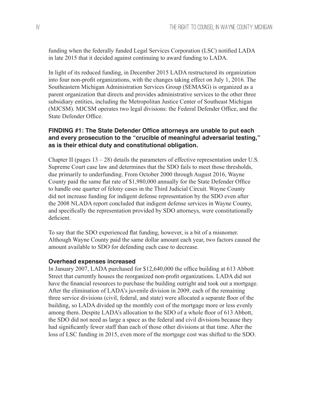funding when the federally funded Legal Services Corporation (LSC) notified LADA in late 2015 that it decided against continuing to award funding to LADA.

In light of its reduced funding, in December 2015 LADA restructured its organization into four non-profit organizations, with the changes taking effect on July 1, 2016. The Southeastern Michigan Administration Services Group (SEMASG) is organized as a parent organization that directs and provides administrative services to the other three subsidiary entities, including the Metropolitan Justice Center of Southeast Michigan (MJCSM). MJCSM operates two legal divisions: the Federal Defender Office, and the State Defender Office.

# **FINDING #1: The State Defender Office attorneys are unable to put each and every prosecution to the "crucible of meaningful adversarial testing," as is their ethical duty and constitutional obligation.**

Chapter II (pages  $13 - 28$ ) details the parameters of effective representation under U.S. Supreme Court case law and determines that the SDO fails to meet those thresholds, due primarily to underfunding. From October 2000 through August 2016, Wayne County paid the same flat rate of \$1,980,000 annually for the State Defender Office to handle one quarter of felony cases in the Third Judicial Circuit. Wayne County did not increase funding for indigent defense representation by the SDO even after the 2008 NLADA report concluded that indigent defense services in Wayne County, and specifically the representation provided by SDO attorneys, were constitutionally deficient.

To say that the SDO experienced flat funding, however, is a bit of a misnomer. Although Wayne County paid the same dollar amount each year, two factors caused the amount available to SDO for defending each case to decrease.

# **Overhead expenses increased**

In January 2007, LADA purchased for \$12,640,000 the office building at 613 Abbott Street that currently houses the reorganized non-profit organizations. LADA did not have the financial resources to purchase the building outright and took out a mortgage. After the elimination of LADA's juvenile division in 2009, each of the remaining three service divisions (civil, federal, and state) were allocated a separate floor of the building, so LADA divided up the monthly cost of the mortgage more or less evenly among them. Despite LADA's allocation to the SDO of a whole floor of 613 Abbott, the SDO did not need as large a space as the federal and civil divisions because they had significantly fewer staff than each of those other divisions at that time. After the loss of LSC funding in 2015, even more of the mortgage cost was shifted to the SDO.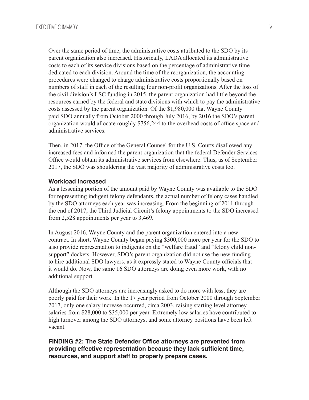Over the same period of time, the administrative costs attributed to the SDO by its parent organization also increased. Historically, LADA allocated its administrative costs to each of its service divisions based on the percentage of administrative time dedicated to each division. Around the time of the reorganization, the accounting procedures were changed to charge administrative costs proportionally based on numbers of staff in each of the resulting four non-profit organizations. After the loss of the civil division's LSC funding in 2015, the parent organization had little beyond the resources earned by the federal and state divisions with which to pay the administrative costs assessed by the parent organization. Of the \$1,980,000 that Wayne County paid SDO annually from October 2000 through July 2016, by 2016 the SDO's parent organization would allocate roughly \$756,244 to the overhead costs of office space and administrative services.

Then, in 2017, the Office of the General Counsel for the U.S. Courts disallowed any increased fees and informed the parent organization that the federal Defender Services Office would obtain its administrative services from elsewhere. Thus, as of September 2017, the SDO was shouldering the vast majority of administrative costs too.

#### **Workload increased**

As a lessening portion of the amount paid by Wayne County was available to the SDO for representing indigent felony defendants, the actual number of felony cases handled by the SDO attorneys each year was increasing. From the beginning of 2011 through the end of 2017, the Third Judicial Circuit's felony appointments to the SDO increased from 2,528 appointments per year to 3,469.

In August 2016, Wayne County and the parent organization entered into a new contract. In short, Wayne County began paying \$300,000 more per year for the SDO to also provide representation to indigents on the "welfare fraud" and "felony child nonsupport" dockets. However, SDO's parent organization did not use the new funding to hire additional SDO lawyers, as it expressly stated to Wayne County officials that it would do. Now, the same 16 SDO attorneys are doing even more work, with no additional support.

Although the SDO attorneys are increasingly asked to do more with less, they are poorly paid for their work. In the 17 year period from October 2000 through September 2017, only one salary increase occurred, circa 2003, raising starting level attorney salaries from \$28,000 to \$35,000 per year. Extremely low salaries have contributed to high turnover among the SDO attorneys, and some attorney positions have been left vacant.

# **FINDING #2: The State Defender Office attorneys are prevented from providing effective representation because they lack sufficient time, resources, and support staff to properly prepare cases.**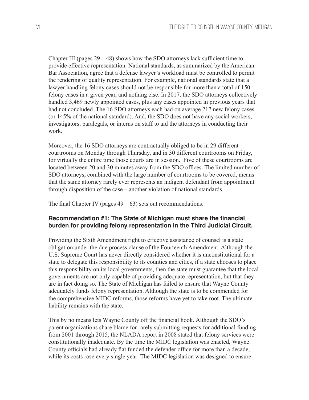Chapter III (pages  $29 - 48$ ) shows how the SDO attorneys lack sufficient time to provide effective representation. National standards, as summarized by the American Bar Association, agree that a defense lawyer's workload must be controlled to permit the rendering of quality representation. For example, national standards state that a lawyer handling felony cases should not be responsible for more than a total of 150 felony cases in a given year, and nothing else. In 2017, the SDO attorneys collectively handled 3,469 newly appointed cases, plus any cases appointed in previous years that had not concluded. The 16 SDO attorneys each had on average 217 new felony cases (or 145% of the national standard). And, the SDO does not have any social workers, investigators, paralegals, or interns on staff to aid the attorneys in conducting their work.

Moreover, the 16 SDO attorneys are contractually obliged to be in 29 different courtrooms on Monday through Thursday, and in 30 different courtrooms on Friday, for virtually the entire time those courts are in session. Five of these courtrooms are located between 20 and 30 minutes away from the SDO offices. The limited number of SDO attorneys, combined with the large number of courtrooms to be covered, means that the same attorney rarely ever represents an indigent defendant from appointment through disposition of the case – another violation of national standards.

The final Chapter IV (pages  $49 - 63$ ) sets out recommendations.

# **Recommendation #1: The State of Michigan must share the financial burden for providing felony representation in the Third Judicial Circuit.**

Providing the Sixth Amendment right to effective assistance of counsel is a state obligation under the due process clause of the Fourteenth Amendment. Although the U.S. Supreme Court has never directly considered whether it is unconstitutional for a state to delegate this responsibility to its counties and cities, if a state chooses to place this responsibility on its local governments, then the state must guarantee that the local governments are not only capable of providing adequate representation, but that they are in fact doing so. The State of Michigan has failed to ensure that Wayne County adequately funds felony representation. Although the state is to be commended for the comprehensive MIDC reforms, those reforms have yet to take root. The ultimate liability remains with the state.

This by no means lets Wayne County off the financial hook. Although the SDO's parent organizations share blame for rarely submitting requests for additional funding from 2001 through 2015, the NLADA report in 2008 stated that felony services were constitutionally inadequate. By the time the MIDC legislation was enacted, Wayne County officials had already flat funded the defender office for more than a decade, while its costs rose every single year. The MIDC legislation was designed to ensure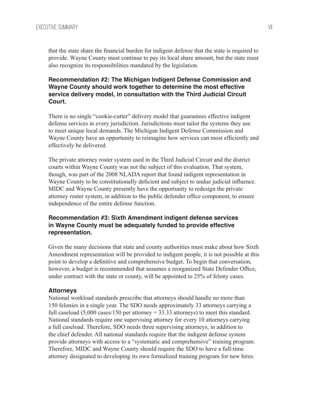that the state share the financial burden for indigent defense that the state is required to provide. Wayne County must continue to pay its local share amount, but the state must also recognize its responsibilities mandated by the legislation.

# **Recommendation #2: The Michigan Indigent Defense Commission and Wayne County should work together to determine the most effective service delivery model, in consultation with the Third Judicial Circuit Court.**

There is no single "cookie-cutter" delivery model that guarantees effective indigent defense services in every jurisdiction. Jurisdictions must tailor the systems they use to meet unique local demands. The Michigan Indigent Defense Commission and Wayne County have an opportunity to reimagine how services can most efficiently and effectively be delivered.

The private attorney roster system used in the Third Judicial Circuit and the district courts within Wayne County was not the subject of this evaluation. That system, though, was part of the 2008 NLADA report that found indigent representation in Wayne County to be constitutionally deficient and subject to undue judicial influence. MIDC and Wayne County presently have the opportunity to redesign the private attorney roster system, in addition to the public defender office component, to ensure independence of the entire defense function.

# **Recommendation #3: Sixth Amendment indigent defense services in Wayne County must be adequately funded to provide effective representation.**

Given the many decisions that state and county authorities must make about how Sixth Amendment representation will be provided to indigent people, it is not possible at this point to develop a definitive and comprehensive budget. To begin that conversation, however, a budget is recommended that assumes a reorganized State Defender Office, under contract with the state or county, will be appointed to 25% of felony cases.

#### **Attorneys**

National workload standards prescribe that attorneys should handle no more than 150 felonies in a single year. The SDO needs approximately 33 attorneys carrying a full caseload  $(5,000 \text{ cases}/150 \text{ per}$  attorney = 33.33 attorneys) to meet this standard. National standards require one supervising attorney for every 10 attorneys carrying a full caseload. Therefore, SDO needs three supervising attorneys, in addition to the chief defender. All national standards require that the indigent defense system provide attorneys with access to a "systematic and comprehensive" training program. Therefore, MIDC and Wayne County should require the SDO to have a full-time attorney designated to developing its own formalized training program for new hires.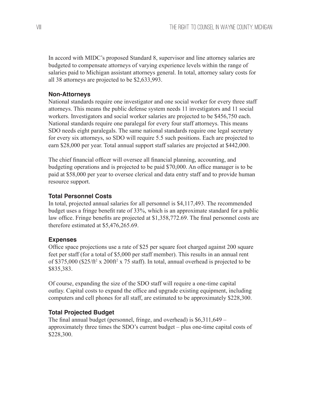In accord with MIDC's proposed Standard 8, supervisor and line attorney salaries are budgeted to compensate attorneys of varying experience levels within the range of salaries paid to Michigan assistant attorneys general. In total, attorney salary costs for all 38 attorneys are projected to be \$2,633,993.

### **Non-Attorneys**

National standards require one investigator and one social worker for every three staff attorneys. This means the public defense system needs 11 investigators and 11 social workers. Investigators and social worker salaries are projected to be \$456,750 each. National standards require one paralegal for every four staff attorneys. This means SDO needs eight paralegals. The same national standards require one legal secretary for every six attorneys, so SDO will require 5.5 such positions. Each are projected to earn \$28,000 per year. Total annual support staff salaries are projected at \$442,000.

The chief financial officer will oversee all financial planning, accounting, and budgeting operations and is projected to be paid \$70,000. An office manager is to be paid at \$58,000 per year to oversee clerical and data entry staff and to provide human resource support.

#### **Total Personnel Costs**

In total, projected annual salaries for all personnel is \$4,117,493. The recommended budget uses a fringe benefit rate of 33%, which is an approximate standard for a public law office. Fringe benefits are projected at \$1,358,772.69. The final personnel costs are therefore estimated at \$5,476,265.69.

#### **Expenses**

Office space projections use a rate of \$25 per square foot charged against 200 square feet per staff (for a total of \$5,000 per staff member). This results in an annual rent of \$375,000 (\$25/ft<sup>2</sup> x 200ft<sup>2</sup> x 75 staff). In total, annual overhead is projected to be \$835,383.

Of course, expanding the size of the SDO staff will require a one-time capital outlay. Capital costs to expand the office and upgrade existing equipment, including computers and cell phones for all staff, are estimated to be approximately \$228,300.

#### **Total Projected Budget**

The final annual budget (personnel, fringe, and overhead) is \$6,311,649 – approximately three times the SDO's current budget – plus one-time capital costs of \$228,300.